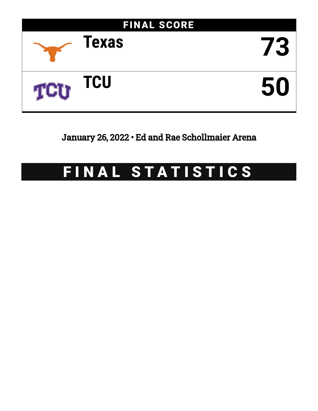

January 26, 2022 • Ed and Rae Schollmaier Arena

# FINAL STATISTICS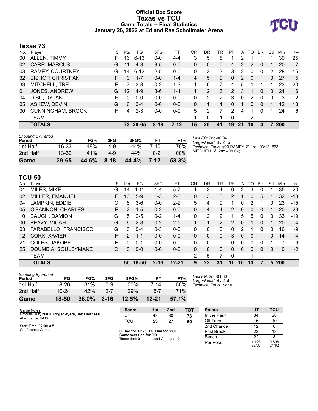## **Official Box Score Texas vs TCU Game Totals -- Final Statistics January 26, 2022 at Ed and Rae Schollmaier Arena**



## **Texas 73**

| No. | Plaver                   | S  | Pts | FG.      | 3FG      | FT      | 0 <sub>R</sub> | DR | TR       | PF            | A  | TO | <b>B</b> lk    | Stl      | Min        | $+/-$          |
|-----|--------------------------|----|-----|----------|----------|---------|----------------|----|----------|---------------|----|----|----------------|----------|------------|----------------|
| 00  | ALLEN, TIMMY             | F  | 16  | $6 - 13$ | $0 - 0$  | $4 - 4$ | 3              | 5  | 8        |               | 2  |    |                |          | 39         | 25             |
| 02  | CARR, MARCUS             | G  | 11  | $4 - 8$  | $3-5$    | $0 - 0$ | 0              | 0  | $\Omega$ | 4             | 2  | 2  | $\overline{0}$ |          | 20         | $\overline{7}$ |
| 03  | <b>RAMEY, COURTNEY</b>   | G  | 14  | $6 - 13$ | $2 - 5$  | $0-0$   | 0              | 3  | 3        | 3             | 2  | 0  | 0              | 2        | 28         | 15             |
| 32  | <b>BISHOP, CHRISTIAN</b> | F. | 3   | $1 - 7$  | $0 - 0$  | $1 - 4$ | 4              | 5  | 9        | $\Omega$      | 2  | 0  |                | 0        | 27         | 15             |
| 33  | MITCHELL, TRE            | F  |     | $3 - 8$  | $0 - 2$  | $1 - 3$ |                | 6  |          | 4             | 5  |    |                |          | 23         | 20             |
| 01  | JONES, ANDREW            | G  | 12  | $4-9$    | $3-6$    | $1 - 1$ |                | 2  | 3        | $\mathcal{P}$ | 3  | 1  | $\Omega$       | $\Omega$ | 24         | 16             |
| 04  | DISU, DYLAN              | F  | 0   | $0 - 0$  | $0 - 0$  | $0 - 0$ | 0              | 2  | 2        | 3             | 0  | 2  | $\Omega$       | $\Omega$ | -3         | $-2$           |
| 05  | ASKEW, DEVIN             | G  | 6   | $3 - 4$  | $0 - 0$  | $0 - 0$ | 0              |    |          | 0             | 1  | 0  | $\Omega$       |          | 12         | 13             |
| 30  | <b>CUNNINGHAM, BROCK</b> | F  | 4   | $2 - 3$  | $0 - 0$  | $0-0$   | 5              | 2  |          | 2             | 4  | 1  | $\Omega$       |          | 24         | 6              |
|     | <b>TEAM</b>              |    |     |          |          |         |                | 0  |          | 0             |    | 2  |                |          |            |                |
|     | <b>TOTALS</b>            |    |     | 73 29-65 | $8 - 18$ | $7-12$  | 15             | 26 | 41       | 19            | 21 | 10 | 3              |          | <b>200</b> |                |

| Game                                | 29-65     | 44.6% | $8 - 18$ | 44.4% | 7-12    | 58.3%  |
|-------------------------------------|-----------|-------|----------|-------|---------|--------|
| 2nd Half                            | $13 - 32$ | 41%   | 4-9      | 44%   | $0 - 2$ | $00\%$ |
| 1st Half                            | 16-33     | 48%   | 4-9      | 44%   | 7-10    | 70%    |
| <b>Shooting By Period</b><br>Period | FG        | FG%   | 3FG      | 3FG%  | FТ      | FT%    |

*Last FG:* 2nd-00:04 *Largest lead:* By 24 at *Technical Fouls:* #03 RAMEY @ 1st - 03:13; #33 MITCHELL @ 2nd - 09:04;

## **TCU 50**

*Shooting By Period*

| No. | Plaver                   | S  | Pts           | FG.     | 3FG      | FT        | OR       | DR       | TR            | PF            | A  | TO       | <b>B</b> lk | Stl      | Min          | $+/-$ |
|-----|--------------------------|----|---------------|---------|----------|-----------|----------|----------|---------------|---------------|----|----------|-------------|----------|--------------|-------|
| 01  | MILES, MIKE              | G  | 14            | 4-11    | 1-4      | $5 - 7$   |          | 3        | 4             | 0             | 2  | 3        | 0           |          | 35           | $-20$ |
| 02  | MILLER, EMANUEL          | F. | 13            | $5-9$   | $1 - 3$  | $2 - 3$   | 0        | 3        | 3             | 2             |    | 0        | 5           |          | 32           | $-13$ |
| 04  | LAMPKIN, EDDIE           | С  | 8             | $3-6$   | $0 - 0$  | $2 - 2$   | 5        | 4        | 9             |               | 0  | 2        |             | 0        | 23           | $-15$ |
| 05  | <b>O'BANNON, CHARLES</b> | F. | $\mathcal{P}$ | $1 - 5$ | $0 - 2$  | $0 - 0$   | $\Omega$ | 4        | 4             | $\mathcal{P}$ | 0  | $\Omega$ | 0           |          | 20           | $-23$ |
| 10  | <b>BAUGH, DAMION</b>     | G  | 5.            | $2 - 5$ | $0 - 2$  | $1 - 4$   | 0        | 2        | 2             |               | 5  | 5        | 0           | $\Omega$ | 33           | $-19$ |
| 00  | PEAVY, MICAH             | G  | 6             | $2 - 8$ | $0 - 2$  | $2 - 5$   |          |          | $\mathcal{P}$ | $\mathcal{P}$ | 0  | 1        | 0           |          | 20           | $-4$  |
| 03  | FARABELLO, FRANCISCO     | G  | 0             | $0 - 4$ | $0 - 3$  | $0 - 0$   | 0        | $\Omega$ | $\Omega$      | 0             | 2  |          | 0           | 0        | 16           | -9    |
| 12  | CORK, XAVIER             | F. | $\mathcal{P}$ | $1 - 1$ | $0 - 0$  | $0 - 0$   | $\Omega$ | 0        | $\Omega$      | 3             | 0  | $\Omega$ |             | 0        | 14           | $-4$  |
| 21  | COLES, JAKOBE            | F  | 0             | $0 - 1$ | $0 - 0$  | $0 - 0$   | $\Omega$ | 0        | 0             | 0             | 0  | 0        | 0           |          |              | -6    |
| 25  | DOUMBIA, SOULEYMANE      | С  | 0             | $0 - 0$ | $0 - 0$  | $0 - 0$   | 0        | 0        | 0             | 0             | 0  | $\Omega$ | 0           | $\Omega$ | $\mathbf{0}$ | $-2$  |
|     | <b>TEAM</b>              |    |               |         |          |           | 2        | 5        |               | $\Omega$      |    | 1        |             |          |              |       |
|     | <b>TOTALS</b>            |    | 50            | 18-50   | $2 - 16$ | $12 - 21$ | 9        | 22       | 31            | 11            | 10 | 13       | 7           | 5        | 200          |       |

| Game                         | 18-50     | 36.0% | $2 - 16$ | 12.5%  | $12 - 21$ | 57.1% |    |
|------------------------------|-----------|-------|----------|--------|-----------|-------|----|
| 2nd Half                     | $10 - 24$ | 42%   | $2 - 7$  | 29%    | $5 - 7$   | 71%   |    |
| 1st Half                     | $8 - 26$  | 31%   | ი-9      | $00\%$ | 7-14      | 50%   | Te |
| Shooting by Feriou<br>Period | FG        | FG%   | 3FG      | 3FG%   | FT        | FT%   | Lć |

*Last FG:* 2nd-01:30 *Largest lead:* By 2 at *Technical Fouls:* None.

| Game Notes:                                                          | Score                                    | 1st | 2nd | <b>TOT</b> | <b>Points</b> |     | тс |
|----------------------------------------------------------------------|------------------------------------------|-----|-----|------------|---------------|-----|----|
| Officials: Ray Natili, Roger Ayers, Jeb Hartness<br>Attendance: 8412 |                                          | 43  | 30  | 73         | In the Paint  | 34  | 28 |
|                                                                      | TCL                                      | 23  | -27 | 50         | Off Turns     | 16  | 10 |
| Start Time: 02:00 AM                                                 |                                          |     |     |            | 2nd Chance    |     |    |
| Conference Game;                                                     | $IIT$ led for $35.25$ TCU led for $2.00$ |     |     | Eact Brook | ົດ            | 1 S |    |

**UT led for 35:25. TCU led for 2:00. Game was tied for 0:0.** Times tied: **0** Lead Changes: **0**

**Points UT TCU** In the Paint 34 28 Off Turns 16 10 2nd Chance 12 6 Fast Break 22 18<br>Bench 22 8 **Bench** Per Poss 33/65 0.806 24/62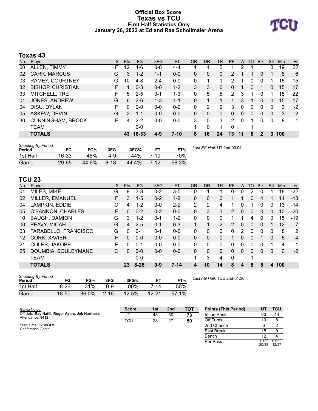#### **Official Box Score Texas vs TCU First Half Statistics Only January 26, 2022 at Ed and Rae Schollmaier Arena**



# **Texas 43**

| No. | Player                   | S  | <b>Pts</b>    | <b>FG</b> | 3FG     | <b>FT</b> | <b>OR</b> | <b>DR</b> | TR | PF       | A        | TO | <b>B</b> lk | Stl      | Min | $+/-$ |
|-----|--------------------------|----|---------------|-----------|---------|-----------|-----------|-----------|----|----------|----------|----|-------------|----------|-----|-------|
| 00  | ALLEN, TIMMY             | F. | 12            | 4-6       | $0 - 0$ | $4 - 4$   |           | 4         | 5  |          | っ        |    |             | 0        | 19  | 22    |
| 02  | <b>CARR, MARCUS</b>      | G  | 3             | $1 - 2$   | $1 - 1$ | $0 - 0$   | 0         | 0         | 0  | 2        |          |    | 0           |          | 8   | 6     |
| 03  | <b>RAMEY, COURTNEY</b>   | G  | 10            | $4 - 8$   | $2 - 4$ | $0-0$     | 0         |           |    | 2        |          | O  | 0           |          | 15  | 15    |
| 32  | <b>BISHOP, CHRISTIAN</b> |    |               | $0 - 3$   | $0 - 0$ | $1 - 2$   | 3         | 3         | 6  | 0        |          | 0  |             | 0        | 15  | 17    |
| 33  | MITCHELL, TRE            | F. | 5             | $2 - 5$   | $0 - 1$ | 1-3       | 0         | 5         | 5  | 2        | 3        |    | 0           |          | 15  | 22    |
| 01  | JONES, ANDREW            | G  | 6             | $2 - 6$   | $1 - 3$ | $1 - 1$   | 0         |           |    |          | 3        |    | 0           | 0        | 15  | 17    |
| 04  | DISU, DYLAN              | F  | 0             | $0 - 0$   | $0 - 0$ | $0 - 0$   | 0         | 2         | 2  | 3        | $\Omega$ | 2  | 0           | $\Omega$ | 3   | $-2$  |
| 05  | ASKEW, DEVIN             | G  | $\mathcal{P}$ | $1 - 1$   | $0 - 0$ | $0 - 0$   | 0         | 0         | 0  | $\Omega$ | $\Omega$ | 0  | $\Omega$    | $\Omega$ | 3   | 2     |
| 30  | <b>CUNNINGHAM, BROCK</b> | F. | 4             | $2 - 2$   | $0 - 0$ | $0 - 0$   | 3         | 0         | 3  | 2        | $\Omega$ | 1  | 0           | 0        | 8   | 1     |
|     | <b>TEAM</b>              |    |               | $0 - 0$   |         |           |           | 0         | 1. | $\Omega$ |          |    |             |          |     |       |
|     | <b>TOTALS</b>            |    | 43            | 16-33     | 4-9     | $7 - 10$  | 8         | 16        | 24 | 13       | 11       | 8  | 2           | 3        | 100 |       |

| <b>Shooting By Period</b><br>Period | FG    | FG%   | 3FG      | 3FG%  | FТ       | FT%   | Last FG Half: UT 2nd-00:04 |
|-------------------------------------|-------|-------|----------|-------|----------|-------|----------------------------|
| 1st Half                            | 16-33 | 48%   | 4-9      | 44%   | 7-10     | 70%   |                            |
| Game                                | 29-65 | 44.6% | $8 - 18$ | 44.4% | $7 - 12$ | 58.3% |                            |

# **TCU 23**

| No. | Player                   | S  | <b>Pts</b> | <b>FG</b> | 3FG     | <b>FT</b> | <b>OR</b> | <b>DR</b> | TR             | PF             | A        | TO | <b>Blk</b> | Stl | Min             | $+/-$ |
|-----|--------------------------|----|------------|-----------|---------|-----------|-----------|-----------|----------------|----------------|----------|----|------------|-----|-----------------|-------|
| 01  | MILES, MIKE              | G  | 9          | $3 - 8$   | $0 - 2$ | $3 - 5$   | 0         |           |                | 0              | 0        | 2  | 0          |     | 18              | $-22$ |
| 02  | MILLER, EMANUEL          | F  | 3          | $1 - 5$   | $0 - 2$ | $1 - 2$   | 0         | 0         | 0              |                |          | 0  | 4          |     | 14              | $-13$ |
| 04  | LAMPKIN, EDDIE           | С  | 4          | $1 - 2$   | $0 - 0$ | $2 - 2$   | 2         | 2         | 4              |                | 0        |    | 0          | 0   | 13              | -14   |
| 05  | <b>O'BANNON, CHARLES</b> | F. | 0          | $0 - 2$   | $0 - 2$ | $0 - 0$   | $\Omega$  | 3         | 3              | $\overline{2}$ | $\Omega$ | 0  | 0          | 0   | 10 <sup>°</sup> | $-20$ |
| 10  | <b>BAUGH, DAMION</b>     | G  | 3          | $1 - 2$   | $0 - 1$ | $1 - 2$   | $\Omega$  | $\Omega$  | 0              |                | 1        | 4  | 0          | 0   | 15              | $-19$ |
| 00  | PEAVY, MICAH             | G  | 4          | $2 - 5$   | $0 - 1$ | $0 - 3$   | 1         | 1         | $\overline{2}$ | $\mathcal{P}$  | $\Omega$ | 0  | $\Omega$   |     | 12              | $-7$  |
| 03  | FARABELLO, FRANCISCO     | G  | 0          | $0 - 1$   | $0 - 1$ | $0 - 0$   | $\Omega$  | 0         | 0              | 0              | 2        | 0  | 0          | 0   | 8               | 2     |
| 12  | CORK, XAVIER             | F  | 0          | $0 - 0$   | $0 - 0$ | $0 - 0$   | $\Omega$  | $\Omega$  | 0              |                | 0        | 0  |            | 0   | 5               | $-4$  |
| 21  | COLES, JAKOBE            | F  | 0          | $0 - 1$   | $0 - 0$ | $0 - 0$   | $\Omega$  | $\Omega$  | 0              | 0              | $\Omega$ | 0  | 0          |     | 4               | $-1$  |
| 25  | DOUMBIA, SOULEYMANE      | C. | $\Omega$   | $0 - 0$   | $0 - 0$ | $0 - 0$   | $\Omega$  | 0         | 0              | 0              | $\Omega$ | 0  | 0          | 0   | 0               | $-2$  |
|     | <b>TEAM</b>              |    |            | $0 - 0$   |         |           | 4         | 3         | 4              | 0              |          |    |            |     |                 |       |
|     | <b>TOTALS</b>            |    | 23         | $8 - 26$  | $0 - 9$ | $7 - 14$  | 4         | 10        | 14             | 8              | 4        | 8  | 5          | 4   | 100             |       |

| <b>Shooting By Period</b><br>Period | FG    | FG%   | 3FG      | 3FG%  |           | FT%   |
|-------------------------------------|-------|-------|----------|-------|-----------|-------|
| 1st Half                            | 8-26  | 31%   | ი-9      | 00%   | 7-14      | 50%   |
| Game                                | 18-50 | 36.0% | $2 - 16$ | 12.5% | $12 - 21$ | 57.1% |

*Last FG Half:* TCU 2nd-01:30

| Game Notes:                                                          | <b>Score</b> | 1st | 2 <sub>nd</sub> | <b>TOT</b> | <b>Points (This Period)</b> | UΤ             | <b>TCU</b>     |
|----------------------------------------------------------------------|--------------|-----|-----------------|------------|-----------------------------|----------------|----------------|
| Officials: Ray Natili, Roger Ayers, Jeb Hartness<br>Attendance: 8412 | UT           | 43  | 30              | 73         | In the Paint                | 20             | 14             |
|                                                                      | TCU          | 23  | 27              | 50         | Off Turns                   | 10             |                |
| Start Time: 02:00 AM                                                 |              |     |                 |            | 2nd Chance                  |                |                |
| Conference Game:                                                     |              |     |                 |            | Fast Break                  | 15             |                |
|                                                                      |              |     |                 |            | Bench                       | 12             |                |
|                                                                      |              |     |                 |            | Per Poss                    | 1.132<br>20/38 | 0.622<br>12/37 |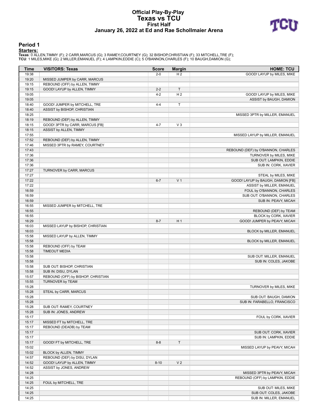#### **Official Play-By-Play Texas vs TCU First Half January 26, 2022 at Ed and Rae Schollmaier Arena**



#### **Period 1**

<mark>Starters:</mark><br>Texas: 0 ALLEN,TIMMY (F); 2 CARR,MARCUS (G); 3 RAMEY,COURTNEY (G); 32 BISHOP,CHRISTIAN (F); 33 MITCHELL,TRE (F);<br>TCU: 1 MILES,MIKE (G); 2 MILLER,EMANUEL (F); 4 LAMPKIN,EDDIE (C); 5 O'BANNON,CHARLES (F); 10 BAUG

| <b>Time</b> | <b>VISITORS: Texas</b>             | <b>Score</b> | <b>Margin</b>  | <b>HOME: TCU</b>                   |
|-------------|------------------------------------|--------------|----------------|------------------------------------|
| 19:38       |                                    | $2 - 0$      | H <sub>2</sub> | GOOD! LAYUP by MILES, MIKE         |
| 19:20       | MISSED JUMPER by CARR, MARCUS      |              |                |                                    |
| 19:15       | REBOUND (OFF) by ALLEN, TIMMY      |              |                |                                    |
| 19:15       | GOOD! LAYUP by ALLEN, TIMMY        | $2 - 2$      | $\mathsf{T}$   |                                    |
| 19:05       |                                    | $4 - 2$      | H <sub>2</sub> | GOOD! LAYUP by MILES, MIKE         |
| 19:05       |                                    |              |                | ASSIST by BAUGH, DAMION            |
| 18:40       | GOOD! JUMPER by MITCHELL, TRE      | $4 - 4$      | $\mathsf T$    |                                    |
| 18:40       | ASSIST by BISHOP, CHRISTIAN        |              |                |                                    |
| 18:25       |                                    |              |                | MISSED 3PTR by MILLER, EMANUEL     |
| 18:19       | REBOUND (DEF) by ALLEN, TIMMY      |              |                |                                    |
| 18:15       | GOOD! 3PTR by CARR, MARCUS [FB]    | $4 - 7$      | $V_3$          |                                    |
| 18:15       | ASSIST by ALLEN, TIMMY             |              |                |                                    |
| 17:55       |                                    |              |                | MISSED LAYUP by MILLER, EMANUEL    |
| 17:52       | REBOUND (DEF) by ALLEN, TIMMY      |              |                |                                    |
| 17:46       | MISSED 3PTR by RAMEY, COURTNEY     |              |                |                                    |
| 17:43       |                                    |              |                | REBOUND (DEF) by O'BANNON, CHARLES |
| 17:36       |                                    |              |                | TURNOVER by MILES, MIKE            |
| 17:36       |                                    |              |                | SUB OUT: LAMPKIN, EDDIE            |
| 17:36       |                                    |              |                | SUB IN: CORK, XAVIER               |
| 17:27       | TURNOVER by CARR, MARCUS           |              |                |                                    |
| 17:27       |                                    |              |                | STEAL by MILES, MIKE               |
| 17:22       |                                    | $6 - 7$      | V <sub>1</sub> | GOOD! LAYUP by BAUGH, DAMION [FB]  |
| 17:22       |                                    |              |                | ASSIST by MILLER, EMANUEL          |
| 16:59       |                                    |              |                | FOUL by O'BANNON, CHARLES          |
| 16:59       |                                    |              |                | SUB OUT: O'BANNON, CHARLES         |
| 16:59       |                                    |              |                | SUB IN: PEAVY, MICAH               |
| 16:55       | MISSED JUMPER by MITCHELL, TRE     |              |                |                                    |
| 16:55       |                                    |              |                | REBOUND (DEF) by TEAM              |
| 16:55       |                                    |              |                | BLOCK by CORK, XAVIER              |
| 16:29       |                                    | $8 - 7$      | H <sub>1</sub> | GOOD! JUMPER by PEAVY, MICAH       |
| 16:03       | MISSED LAYUP by BISHOP, CHRISTIAN  |              |                |                                    |
| 16:03       |                                    |              |                | BLOCK by MILLER, EMANUEL           |
| 15:58       | MISSED LAYUP by ALLEN, TIMMY       |              |                |                                    |
| 15:58       |                                    |              |                | BLOCK by MILLER, EMANUEL           |
| 15:58       | REBOUND (OFF) by TEAM              |              |                |                                    |
| 15:58       | <b>TIMEOUT MEDIA</b>               |              |                |                                    |
| 15:58       |                                    |              |                | SUB OUT: MILLER, EMANUEL           |
| 15:58       |                                    |              |                | SUB IN: COLES, JAKOBE              |
| 15:58       | SUB OUT: BISHOP, CHRISTIAN         |              |                |                                    |
| 15:58       | SUB IN: DISU, DYLAN                |              |                |                                    |
| 15:57       | REBOUND (OFF) by BISHOP, CHRISTIAN |              |                |                                    |
| 15:55       | TURNOVER by TEAM                   |              |                |                                    |
| 15:28       |                                    |              |                | TURNOVER by MILES, MIKE            |
| 15:28       | STEAL by CARR, MARCUS              |              |                |                                    |
| 15:28       |                                    |              |                | SUB OUT: BAUGH, DAMION             |
| 15:28       |                                    |              |                | SUB IN: FARABELLO, FRANCISCO       |
| 15:28       | SUB OUT: RAMEY, COURTNEY           |              |                |                                    |
| 15:28       | SUB IN: JONES, ANDREW              |              |                |                                    |
| 15:17       |                                    |              |                | FOUL by CORK, XAVIER               |
| 15:17       | MISSED FT by MITCHELL, TRE         |              |                |                                    |
|             | REBOUND (DEADB) by TEAM            |              |                |                                    |
| 15:17       |                                    |              |                |                                    |
| 15:17       |                                    |              |                | SUB OUT: CORK, XAVIER              |
| 15:17       |                                    |              |                | SUB IN: LAMPKIN, EDDIE             |
| 15:17       | GOOD! FT by MITCHELL, TRE          | $8 - 8$      | T              |                                    |
| 15:02       |                                    |              |                | MISSED LAYUP by PEAVY, MICAH       |
| 15:02       | BLOCK by ALLEN, TIMMY              |              |                |                                    |
| 14:57       | REBOUND (DEF) by DISU, DYLAN       |              |                |                                    |
| 14:52       | GOOD! LAYUP by ALLEN, TIMMY        | $8 - 10$     | V <sub>2</sub> |                                    |
| 14:52       | ASSIST by JONES, ANDREW            |              |                |                                    |
| 14:28       |                                    |              |                | MISSED 3PTR by PEAVY, MICAH        |
| 14:25       |                                    |              |                | REBOUND (OFF) by LAMPKIN, EDDIE    |
| 14:25       | FOUL by MITCHELL, TRE              |              |                |                                    |
| 14:25       |                                    |              |                | SUB OUT: MILES, MIKE               |
| 14:25       |                                    |              |                | SUB OUT: COLES, JAKOBE             |
| 14:25       |                                    |              |                | SUB IN: MILLER, EMANUEL            |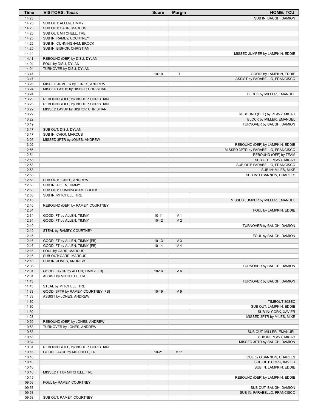| <b>Time</b>    | <b>VISITORS: Texas</b>                                         | <b>Score</b>         | <b>Margin</b>           | <b>HOME: TCU</b>                                     |
|----------------|----------------------------------------------------------------|----------------------|-------------------------|------------------------------------------------------|
| 14:25          |                                                                |                      |                         | SUB IN: BAUGH, DAMION                                |
| 14:25          | SUB OUT: ALLEN, TIMMY                                          |                      |                         |                                                      |
| 14:25          | SUB OUT: CARR, MARCUS                                          |                      |                         |                                                      |
| 14:25          | SUB OUT: MITCHELL, TRE                                         |                      |                         |                                                      |
| 14:25          | SUB IN: RAMEY, COURTNEY                                        |                      |                         |                                                      |
| 14:25          | SUB IN: CUNNINGHAM, BROCK                                      |                      |                         |                                                      |
| 14:25          | SUB IN: BISHOP, CHRISTIAN                                      |                      |                         |                                                      |
| 14:14          |                                                                |                      |                         | MISSED JUMPER by LAMPKIN, EDDIE                      |
| 14:11          | REBOUND (DEF) by DISU, DYLAN<br>FOUL by DISU, DYLAN            |                      |                         |                                                      |
| 14:04<br>14:04 | TURNOVER by DISU, DYLAN                                        |                      |                         |                                                      |
| 13:47          |                                                                | $10 - 10$            | $\mathsf T$             | GOOD! by LAMPKIN, EDDIE                              |
| 13:47          |                                                                |                      |                         | ASSIST by FARABELLO, FRANCISCO                       |
| 13:26          | MISSED JUMPER by JONES, ANDREW                                 |                      |                         |                                                      |
| 13:24          | MISSED LAYUP by BISHOP, CHRISTIAN                              |                      |                         |                                                      |
| 13:24          |                                                                |                      |                         | BLOCK by MILLER, EMANUEL                             |
| 13:23          | REBOUND (OFF) by BISHOP, CHRISTIAN                             |                      |                         |                                                      |
| 13:23          | REBOUND (OFF) by BISHOP, CHRISTIAN                             |                      |                         |                                                      |
| 13:22          | MISSED LAYUP by BISHOP, CHRISTIAN                              |                      |                         |                                                      |
| 13:22          |                                                                |                      |                         | REBOUND (DEF) by PEAVY, MICAH                        |
| 13:22          |                                                                |                      |                         | BLOCK by MILLER, EMANUEL                             |
| 13:19          |                                                                |                      |                         | TURNOVER by BAUGH, DAMION                            |
| 13:17          | SUB OUT: DISU, DYLAN                                           |                      |                         |                                                      |
| 13:17          | SUB IN: CARR, MARCUS                                           |                      |                         |                                                      |
| 13:05          | MISSED 3PTR by JONES, ANDREW                                   |                      |                         |                                                      |
| 13:02          |                                                                |                      |                         | REBOUND (DEF) by LAMPKIN, EDDIE                      |
| 12:56<br>12:54 |                                                                |                      |                         | MISSED 3PTR by FARABELLO, FRANCISCO                  |
| 12:53          |                                                                |                      |                         | REBOUND (OFF) by TEAM<br>SUB OUT: PEAVY, MICAH       |
| 12:53          |                                                                |                      |                         | SUB OUT: FARABELLO, FRANCISCO                        |
| 12:53          |                                                                |                      |                         | SUB IN: MILES, MIKE                                  |
| 12:53          |                                                                |                      |                         | SUB IN: O'BANNON, CHARLES                            |
| 12:53          | SUB OUT: JONES, ANDREW                                         |                      |                         |                                                      |
| 12:53          | SUB IN: ALLEN, TIMMY                                           |                      |                         |                                                      |
| 12:53          | SUB OUT: CUNNINGHAM, BROCK                                     |                      |                         |                                                      |
| 12:53          | SUB IN: MITCHELL, TRE                                          |                      |                         |                                                      |
| 12:45          |                                                                |                      |                         | MISSED JUMPER by MILLER, EMANUEL                     |
| 12:40          | REBOUND (DEF) by RAMEY, COURTNEY                               |                      |                         |                                                      |
| 12:34          |                                                                |                      |                         | FOUL by LAMPKIN, EDDIE                               |
| 12:34          | GOOD! FT by ALLEN, TIMMY                                       | $10 - 11$            | V <sub>1</sub>          |                                                      |
| 12:34          | GOOD! FT by ALLEN, TIMMY                                       | $10 - 12$            | V <sub>2</sub>          |                                                      |
| 12:19          |                                                                |                      |                         | TURNOVER by BAUGH, DAMION                            |
| 12:19          | STEAL by RAMEY, COURTNEY                                       |                      |                         |                                                      |
| 12:16          |                                                                |                      |                         | FOUL by BAUGH, DAMION                                |
| 12:16<br>12:16 | GOOD! FT by ALLEN, TIMMY [FB]<br>GOOD! FT by ALLEN, TIMMY [FB] | $10-13$<br>$10 - 14$ | $V_3$<br>V <sub>4</sub> |                                                      |
| 12:16          | FOUL by CARR, MARCUS                                           |                      |                         |                                                      |
| 12:16          | SUB OUT: CARR, MARCUS                                          |                      |                         |                                                      |
| 12:16          | SUB IN: JONES, ANDREW                                          |                      |                         |                                                      |
| 12:08          |                                                                |                      |                         | TURNOVER by BAUGH, DAMION                            |
| 12:01          | GOOD! LAYUP by ALLEN, TIMMY [FB]                               | $10 - 16$            | $V_6$                   |                                                      |
| 12:01          | ASSIST by MITCHELL, TRE                                        |                      |                         |                                                      |
| 11:43          |                                                                |                      |                         | TURNOVER by BAUGH, DAMION                            |
| 11:43          | STEAL by MITCHELL, TRE                                         |                      |                         |                                                      |
| 11:33          | GOOD! 3PTR by RAMEY, COURTNEY [FB]                             | $10-19$              | V <sub>9</sub>          |                                                      |
| 11:33          | ASSIST by JONES, ANDREW                                        |                      |                         |                                                      |
| 11:30          |                                                                |                      |                         | TIMEOUT 30SEC                                        |
| 11:30          |                                                                |                      |                         | SUB OUT: LAMPKIN, EDDIE                              |
| 11:30          |                                                                |                      |                         | SUB IN: CORK, XAVIER                                 |
| 11:03          |                                                                |                      |                         | MISSED 3PTR by MILES, MIKE                           |
| 10:59          | REBOUND (DEF) by JONES, ANDREW                                 |                      |                         |                                                      |
| 10:53          | TURNOVER by JONES, ANDREW                                      |                      |                         |                                                      |
| 10:53          |                                                                |                      |                         | SUB OUT: MILLER, EMANUEL                             |
| 10:53<br>10:34 |                                                                |                      |                         | SUB IN: PEAVY, MICAH<br>MISSED 3PTR by BAUGH, DAMION |
| 10:31          | REBOUND (DEF) by BISHOP, CHRISTIAN                             |                      |                         |                                                      |
| 10:16          | GOOD! LAYUP by MITCHELL, TRE                                   | $10 - 21$            | V <sub>11</sub>         |                                                      |
| 10:16          |                                                                |                      |                         | FOUL by O'BANNON, CHARLES                            |
| 10:16          |                                                                |                      |                         | SUB OUT: CORK, XAVIER                                |
| 10:16          |                                                                |                      |                         | SUB IN: LAMPKIN, EDDIE                               |
| 10:16          | MISSED FT by MITCHELL, TRE                                     |                      |                         |                                                      |
| 10:15          |                                                                |                      |                         | REBOUND (DEF) by LAMPKIN, EDDIE                      |
| 09:58          | FOUL by RAMEY, COURTNEY                                        |                      |                         |                                                      |
| 09:58          |                                                                |                      |                         | SUB OUT: BAUGH, DAMION                               |
| 09:58          |                                                                |                      |                         | SUB IN: FARABELLO, FRANCISCO                         |
| 09:58          | SUB OUT: RAMEY, COURTNEY                                       |                      |                         |                                                      |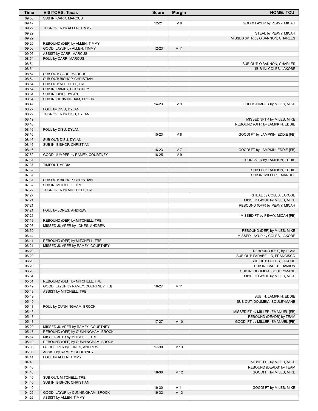| Time           | <b>VISITORS: Texas</b>                                   | <b>Score</b> | <b>Margin</b>   | <b>HOME: TCU</b>                                          |
|----------------|----------------------------------------------------------|--------------|-----------------|-----------------------------------------------------------|
| 09:58          | SUB IN: CARR, MARCUS                                     |              |                 |                                                           |
| 09:47          |                                                          | $12 - 21$    | V <sub>9</sub>  | GOOD! LAYUP by PEAVY, MICAH                               |
| 09:29          | TURNOVER by ALLEN, TIMMY                                 |              |                 |                                                           |
| 09:29<br>09:22 |                                                          |              |                 | STEAL by PEAVY, MICAH<br>MISSED 3PTR by O'BANNON, CHARLES |
| 09:20          | REBOUND (DEF) by ALLEN, TIMMY                            |              |                 |                                                           |
| 09:06          | GOOD! LAYUP by ALLEN, TIMMY                              | $12 - 23$    | V <sub>11</sub> |                                                           |
| 09:06          | ASSIST by CARR, MARCUS                                   |              |                 |                                                           |
| 08:54          | FOUL by CARR, MARCUS                                     |              |                 |                                                           |
| 08:54          |                                                          |              |                 | SUB OUT: O'BANNON, CHARLES                                |
| 08:54          |                                                          |              |                 | SUB IN: COLES, JAKOBE                                     |
| 08:54          | SUB OUT: CARR, MARCUS                                    |              |                 |                                                           |
| 08:54          | SUB OUT: BISHOP, CHRISTIAN                               |              |                 |                                                           |
| 08:54<br>08:54 | SUB OUT: MITCHELL, TRE<br>SUB IN: RAMEY, COURTNEY        |              |                 |                                                           |
| 08:54          | SUB IN: DISU, DYLAN                                      |              |                 |                                                           |
| 08:54          | SUB IN: CUNNINGHAM, BROCK                                |              |                 |                                                           |
| 08:47          |                                                          | 14-23        | V <sub>9</sub>  | GOOD! JUMPER by MILES, MIKE                               |
| 08:27          | FOUL by DISU, DYLAN                                      |              |                 |                                                           |
| 08:27          | TURNOVER by DISU, DYLAN                                  |              |                 |                                                           |
| 08:19          |                                                          |              |                 | MISSED 3PTR by MILES, MIKE                                |
| 08:16          |                                                          |              |                 | REBOUND (OFF) by LAMPKIN, EDDIE                           |
| 08:16<br>08:16 | FOUL by DISU, DYLAN                                      | 15-23        | $V_8$           | GOOD! FT by LAMPKIN, EDDIE [FB]                           |
| 08:16          | SUB OUT: DISU, DYLAN                                     |              |                 |                                                           |
| 08:16          | SUB IN: BISHOP, CHRISTIAN                                |              |                 |                                                           |
| 08:16          |                                                          | $16 - 23$    | V <sub>7</sub>  | GOOD! FT by LAMPKIN, EDDIE [FB]                           |
| 07:52          | GOOD! JUMPER by RAMEY, COURTNEY                          | 16-25        | V <sub>9</sub>  |                                                           |
| 07:37          |                                                          |              |                 | TURNOVER by LAMPKIN, EDDIE                                |
| 07:37          | <b>TIMEOUT MEDIA</b>                                     |              |                 |                                                           |
| 07:37<br>07:37 |                                                          |              |                 | SUB OUT: LAMPKIN, EDDIE<br>SUB IN: MILLER, EMANUEL        |
| 07:37          | SUB OUT: BISHOP, CHRISTIAN                               |              |                 |                                                           |
| 07:37          | SUB IN: MITCHELL, TRE                                    |              |                 |                                                           |
| 07:27          | TURNOVER by MITCHELL, TRE                                |              |                 |                                                           |
| 07:27          |                                                          |              |                 | STEAL by COLES, JAKOBE                                    |
| 07:21          |                                                          |              |                 | MISSED LAYUP by MILES, MIKE                               |
| 07:21          |                                                          |              |                 | REBOUND (OFF) by PEAVY, MICAH                             |
| 07:21<br>07:21 | FOUL by JONES, ANDREW                                    |              |                 | MISSED FT by PEAVY, MICAH [FB]                            |
| 07:19          | REBOUND (DEF) by MITCHELL, TRE                           |              |                 |                                                           |
| 07:03          | MISSED JUMPER by JONES, ANDREW                           |              |                 |                                                           |
| 06:59          |                                                          |              |                 | REBOUND (DEF) by MILES, MIKE                              |
| 06:44          |                                                          |              |                 | MISSED LAYUP by COLES, JAKOBE                             |
| 06:41          | REBOUND (DEF) by MITCHELL, TRE                           |              |                 |                                                           |
| 06:21          | MISSED JUMPER by RAMEY, COURTNEY                         |              |                 |                                                           |
| 06:20          |                                                          |              |                 | REBOUND (DEF) by TEAM                                     |
| 06:20<br>06:20 |                                                          |              |                 | SUB OUT: FARABELLO, FRANCISCO<br>SUB OUT: COLES, JAKOBE   |
| 06:20          |                                                          |              |                 | SUB IN: BAUGH, DAMION                                     |
| 06:20          |                                                          |              |                 | SUB IN: DOUMBIA, SOULEYMANE                               |
| 05:54          |                                                          |              |                 | MISSED LAYUP by MILES, MIKE                               |
| 05:51          | REBOUND (DEF) by MITCHELL, TRE                           |              |                 |                                                           |
| 05:49          | GOOD! LAYUP by RAMEY, COURTNEY [FB]                      | 16-27        | V <sub>11</sub> |                                                           |
| 05:49          | ASSIST by MITCHELL, TRE                                  |              |                 |                                                           |
| 05:49<br>05:49 |                                                          |              |                 | SUB IN: LAMPKIN, EDDIE<br>SUB OUT: DOUMBIA, SOULEYMANE    |
| 05:43          | FOUL by CUNNINGHAM, BROCK                                |              |                 |                                                           |
| 05:43          |                                                          |              |                 | MISSED FT by MILLER, EMANUEL [FB]                         |
| 05:43          |                                                          |              |                 | REBOUND (DEADB) by TEAM                                   |
| 05:43          |                                                          | $17 - 27$    | $V$ 10          | GOOD! FT by MILLER, EMANUEL [FB]                          |
| 05:20          | MISSED JUMPER by RAMEY, COURTNEY                         |              |                 |                                                           |
| 05:17          | REBOUND (OFF) by CUNNINGHAM, BROCK                       |              |                 |                                                           |
| 05:14          | MISSED 3PTR by MITCHELL, TRE                             |              |                 |                                                           |
| 05:10          | REBOUND (OFF) by CUNNINGHAM, BROCK                       |              |                 |                                                           |
| 05:03<br>05:03 | GOOD! 3PTR by JONES, ANDREW<br>ASSIST by RAMEY, COURTNEY | 17-30        | V <sub>13</sub> |                                                           |
| 04:41          | FOUL by ALLEN, TIMMY                                     |              |                 |                                                           |
| 04:40          |                                                          |              |                 | MISSED FT by MILES, MIKE                                  |
| 04:40          |                                                          |              |                 | REBOUND (DEADB) by TEAM                                   |
| 04:40          |                                                          | 18-30        | V <sub>12</sub> | GOOD! FT by MILES, MIKE                                   |
| 04:40          | SUB OUT: MITCHELL, TRE                                   |              |                 |                                                           |
| 04:40<br>04:40 | SUB IN: BISHOP, CHRISTIAN                                | 19-30        | V <sub>11</sub> | GOOD! FT by MILES, MIKE                                   |
| 04:26          | GOOD! LAYUP by CUNNINGHAM, BROCK                         | 19-32        | V <sub>13</sub> |                                                           |
| 04:26          | ASSIST by ALLEN, TIMMY                                   |              |                 |                                                           |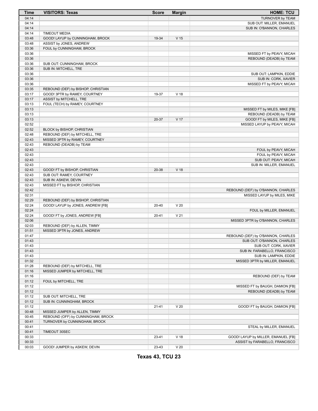| <b>Time</b> | <b>VISITORS: Texas</b>             | <b>Score</b> | <b>Margin</b>   | <b>HOME: TCU</b>                    |
|-------------|------------------------------------|--------------|-----------------|-------------------------------------|
| 04:14       |                                    |              |                 | <b>TURNOVER by TEAM</b>             |
| 04:14       |                                    |              |                 | SUB OUT: MILLER, EMANUEL            |
| 04:14       |                                    |              |                 | SUB IN: O'BANNON, CHARLES           |
| 04:14       | <b>TIMEOUT MEDIA</b>               |              |                 |                                     |
| 03:48       | GOOD! LAYUP by CUNNINGHAM, BROCK   | 19-34        | V <sub>15</sub> |                                     |
| 03:48       | ASSIST by JONES, ANDREW            |              |                 |                                     |
| 03:36       | FOUL by CUNNINGHAM, BROCK          |              |                 |                                     |
| 03:36       |                                    |              |                 | MISSED FT by PEAVY, MICAH           |
| 03:36       |                                    |              |                 | REBOUND (DEADB) by TEAM             |
| 03:36       | SUB OUT: CUNNINGHAM, BROCK         |              |                 |                                     |
| 03:36       | SUB IN: MITCHELL, TRE              |              |                 |                                     |
| 03:36       |                                    |              |                 | SUB OUT: LAMPKIN, EDDIE             |
| 03:36       |                                    |              |                 | SUB IN: CORK, XAVIER                |
| 03:36       |                                    |              |                 | MISSED FT by PEAVY, MICAH           |
| 03:35       | REBOUND (DEF) by BISHOP, CHRISTIAN |              |                 |                                     |
| 03:17       | GOOD! 3PTR by RAMEY, COURTNEY      | 19-37        | V <sub>18</sub> |                                     |
| 03:17       | ASSIST by MITCHELL, TRE            |              |                 |                                     |
| 03:13       | FOUL (TECH) by RAMEY, COURTNEY     |              |                 |                                     |
| 03:13       |                                    |              |                 | MISSED FT by MILES, MIKE [FB]       |
| 03:13       |                                    |              |                 | REBOUND (DEADB) by TEAM             |
| 03:13       |                                    | 20-37        | V 17            | GOOD! FT by MILES, MIKE [FB]        |
| 02:52       |                                    |              |                 | MISSED LAYUP by PEAVY, MICAH        |
| 02:52       | BLOCK by BISHOP, CHRISTIAN         |              |                 |                                     |
| 02:48       | REBOUND (DEF) by MITCHELL, TRE     |              |                 |                                     |
| 02:43       | MISSED 3PTR by RAMEY, COURTNEY     |              |                 |                                     |
| 02:43       | REBOUND (DEADB) by TEAM            |              |                 |                                     |
| 02:43       |                                    |              |                 | FOUL by PEAVY, MICAH                |
| 02:43       |                                    |              |                 | FOUL by PEAVY, MICAH                |
| 02:43       |                                    |              |                 | SUB OUT: PEAVY, MICAH               |
| 02:43       |                                    |              |                 | SUB IN: MILLER, EMANUEL             |
| 02:43       | GOOD! FT by BISHOP, CHRISTIAN      | 20-38        | V <sub>18</sub> |                                     |
| 02:43       | SUB OUT: RAMEY, COURTNEY           |              |                 |                                     |
| 02:43       | SUB IN: ASKEW, DEVIN               |              |                 |                                     |
| 02:43       | MISSED FT by BISHOP, CHRISTIAN     |              |                 |                                     |
| 02:42       |                                    |              |                 | REBOUND (DEF) by O'BANNON, CHARLES  |
| 02:31       |                                    |              |                 | MISSED LAYUP by MILES, MIKE         |
| 02:29       | REBOUND (DEF) by BISHOP, CHRISTIAN |              |                 |                                     |
| 02:24       | GOOD! LAYUP by JONES, ANDREW [FB]  | 20-40        | V <sub>20</sub> |                                     |
| 02:24       |                                    |              |                 | FOUL by MILLER, EMANUEL             |
| 02:24       | GOOD! FT by JONES, ANDREW [FB]     | $20 - 41$    | V <sub>21</sub> |                                     |
| 02:06       |                                    |              |                 | MISSED 3PTR by O'BANNON, CHARLES    |
| 02:03       | REBOUND (DEF) by ALLEN, TIMMY      |              |                 |                                     |
| 01:51       | MISSED 3PTR by JONES, ANDREW       |              |                 |                                     |
| 01:47       |                                    |              |                 | REBOUND (DEF) by O'BANNON, CHARLES  |
| 01:43       |                                    |              |                 | SUB OUT: O'BANNON, CHARLES          |
| 01:43       |                                    |              |                 | SUB OUT: CORK, XAVIER               |
| 01:43       |                                    |              |                 | SUB IN: FARABELLO, FRANCISCO        |
| 01:43       |                                    |              |                 | SUB IN: LAMPKIN, EDDIE              |
| 01:32       |                                    |              |                 | MISSED 3PTR by MILLER, EMANUEL      |
| 01:28       | REBOUND (DEF) by MITCHELL, TRE     |              |                 |                                     |
| 01:16       | MISSED JUMPER by MITCHELL, TRE     |              |                 |                                     |
| 01:16       |                                    |              |                 | REBOUND (DEF) by TEAM               |
| 01:12       | FOUL by MITCHELL, TRE              |              |                 |                                     |
| 01:12       |                                    |              |                 | MISSED FT by BAUGH, DAMION [FB]     |
| 01:12       |                                    |              |                 | REBOUND (DEADB) by TEAM             |
| 01:12       | SUB OUT: MITCHELL, TRE             |              |                 |                                     |
| 01:12       |                                    |              |                 |                                     |
|             | SUB IN: CUNNINGHAM, BROCK          |              | V <sub>20</sub> | GOOD! FT by BAUGH, DAMION [FB]      |
| 01:12       |                                    | $21 - 41$    |                 |                                     |
| 00:48       | MISSED JUMPER by ALLEN, TIMMY      |              |                 |                                     |
| 00:45       | REBOUND (OFF) by CUNNINGHAM, BROCK |              |                 |                                     |
| 00:41       | TURNOVER by CUNNINGHAM, BROCK      |              |                 |                                     |
| 00:41       |                                    |              |                 | STEAL by MILLER, EMANUEL            |
| 00:41       | TIMEOUT 30SEC                      |              |                 |                                     |
| 00:33       |                                    | 23-41        | V <sub>18</sub> | GOOD! LAYUP by MILLER, EMANUEL [FB] |
| 00:33       |                                    |              |                 | ASSIST by FARABELLO, FRANCISCO      |
| 00:03       | GOOD! JUMPER by ASKEW, DEVIN       | 23-43        | V <sub>20</sub> |                                     |

**Texas 43, TCU 23**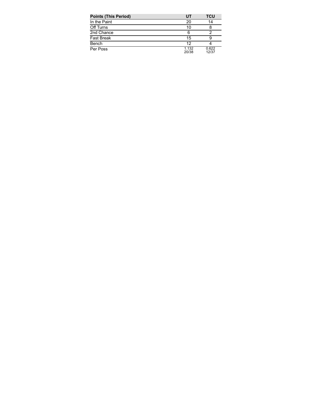| <b>Points (This Period)</b> | UT             | <b>TCU</b>     |
|-----------------------------|----------------|----------------|
| In the Paint                | 20             | 14             |
| Off Turns                   | 10             |                |
| 2nd Chance                  | 6              |                |
| <b>Fast Break</b>           | 15             |                |
| Bench                       | 12             |                |
| Per Poss                    | 1.132<br>20/38 | 0.622<br>12/37 |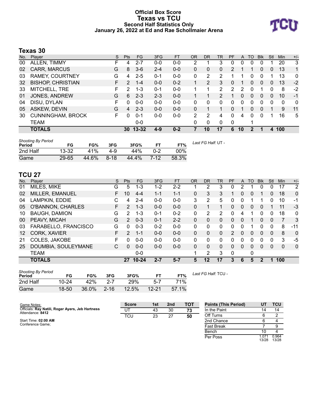### **Official Box Score Texas vs TCU Second Half Statistics Only January 26, 2022 at Ed and Rae Schollmaier Arena**



# **Texas 30**

| No. | Player                   | S  | <b>Pts</b> | <b>FG</b> | 3FG     | <b>FT</b> | <b>OR</b>     | <b>DR</b> | <b>TR</b>      | PF             | A  | TO           | <b>B</b> lk  | Stl          | Min | $+/-$        |
|-----|--------------------------|----|------------|-----------|---------|-----------|---------------|-----------|----------------|----------------|----|--------------|--------------|--------------|-----|--------------|
| 00  | ALLEN, TIMMY             | н  | 4          | $2 - 7$   | $0 - 0$ | $0 - 0$   | 2             |           | 3              | 0              | 0  | 0            | 0            |              | 20  | 3            |
| 02  | <b>CARR, MARCUS</b>      | G  | 8          | $3-6$     | $2 - 4$ | $0 - 0$   | 0             | 0         | 0              | $\overline{2}$ |    |              | $\mathbf{0}$ | 0            | 13  | 1            |
| 03  | RAMEY, COURTNEY          | G  | 4          | $2 - 5$   | $0 - 1$ | $0 - 0$   | 0             | 2         | 2              |                |    | 0            | 0            |              | 13  | $\mathbf{0}$ |
| 32  | <b>BISHOP, CHRISTIAN</b> | F. | 2          | $1 - 4$   | $0 - 0$ | $0 - 2$   |               | 2         | 3              | 0              |    | 0            | $\mathbf{0}$ | $\mathbf{0}$ | 13  | $-2$         |
| 33  | MITCHELL, TRE            | F  | 2          | $1 - 3$   | $0 - 1$ | $0 - 0$   |               | 1         | $\overline{2}$ | 2              | 2  | 0            |              | $\Omega$     | 8   | $-2$         |
| 01  | JONES, ANDREW            | G  | 6          | $2 - 3$   | $2 - 3$ | $0 - 0$   |               |           | $\overline{2}$ | 1              | 0  | $\mathbf{0}$ | $\mathbf{0}$ | 0            | 10  | -1           |
| 04  | DISU, DYLAN              | F  | 0          | $0-0$     | $0 - 0$ | $0 - 0$   | 0             | 0         | 0              | 0              | 0  | 0            | 0            | 0            | 0   | 0            |
| 05  | ASKEW, DEVIN             | G  | 4          | $2 - 3$   | $0 - 0$ | $0 - 0$   | 0             | 1         |                | 0              |    | 0            | 0            | 1            | 9   | 11           |
| 30  | <b>CUNNINGHAM, BROCK</b> | F. | 0          | $0 - 1$   | $0 - 0$ | $0 - 0$   | $\mathcal{P}$ | 2         | 4              | 0              | 4  | 0            | 0            |              | 16  | 5            |
|     | <b>TEAM</b>              |    |            | $0-0$     |         |           | 0             | 0         | 0              | $\mathbf 0$    |    |              |              |              |     |              |
|     | <b>TOTALS</b>            |    |            | 30 13-32  | $4-9$   | $0 - 2$   |               | 10        | 17             | 6              | 10 | 2            |              | 4            | 100 |              |

| <b>Shooting By Period</b><br>Period | FG        | FG%   | 3FG    | 3FG%  | <b>FT</b> | FT%         | Last FG Half: UT - |
|-------------------------------------|-----------|-------|--------|-------|-----------|-------------|--------------------|
| 2nd Half                            | $13 - 32$ | 41%   | 4-9    | 44%   | $0 - 2$   | <u>ባበ% </u> |                    |
| Game                                | 29-65     | 44.6% | $8-18$ | 44.4% | $7-12$    | 58.3%       |                    |

# **TCU 27**

| No. | Player               | S  | <b>Pts</b>    | <b>FG</b> | 3FG     | <b>FT</b> | <b>OR</b> | <b>DR</b> | TR.      | PF            | A        | TO | <b>B</b> lk    | Stl      | Min      | $+/-$          |
|-----|----------------------|----|---------------|-----------|---------|-----------|-----------|-----------|----------|---------------|----------|----|----------------|----------|----------|----------------|
| 01  | MILES, MIKE          | G  | 5             | $1 - 3$   | $1 - 2$ | $2 - 2$   |           | 2         | 3        | 0             | 2        |    | 0              |          | 17       | $\overline{2}$ |
| 02  | MILLER, EMANUEL      | F  | 10            | $4 - 4$   | 1-1     | $1 - 1$   | 0         | 3         | 3        |               | 0        | 0  |                | 0        | 18       | $\Omega$       |
| 04  | LAMPKIN, EDDIE       | С  | 4             | $2 - 4$   | $0 - 0$ | $0 - 0$   | 3         | 2         | 5        | 0             | 0        |    |                | n        | 10       | $-1$           |
| 05  | O'BANNON, CHARLES    | F  | $\mathcal{P}$ | $1 - 3$   | $0 - 0$ | $0 - 0$   | 0         |           |          | 0             | 0        | 0  | $\overline{0}$ |          | 11       | $-3$           |
| 10  | <b>BAUGH, DAMION</b> | G  | 2             | $1 - 3$   | $0 - 1$ | $0 - 2$   | 0         | 2         | 2        | 0             | 4        |    | 0              | 0        | 18       | 0              |
| 00  | PEAVY, MICAH         | G  | 2             | $0 - 3$   | $0 - 1$ | $2 - 2$   | 0         | 0         | 0        | $\Omega$      | $\Omega$ |    | $\Omega$       | $\Omega$ | 7        | 3              |
| 03  | FARABELLO, FRANCISCO | G  | $\Omega$      | $0 - 3$   | $0 - 2$ | $0 - 0$   | 0         | $\Omega$  | $\Omega$ | 0             | 0        |    | $\Omega$       | $\Omega$ | 8        | $-11$          |
| 12  | CORK, XAVIER         | F. | $\mathcal{P}$ | $1 - 1$   | $0 - 0$ | $0 - 0$   | $\Omega$  | $\Omega$  | $\Omega$ | $\mathcal{P}$ | $\Omega$ | 0  | $\Omega$       | 0        | 8        | $\overline{0}$ |
| 21  | COLES, JAKOBE        | F  | 0             | $0 - 0$   | $0 - 0$ | $0 - 0$   | 0         | 0         | $\Omega$ | 0             | 0        | 0  | 0              | 0        | 3        | -5             |
| 25  | DOUMBIA, SOULEYMANE  | C  | $\Omega$      | $0 - 0$   | $0 - 0$ | $0 - 0$   | 0         | 0         | $\Omega$ | 0             | $\Omega$ | 0  | $\Omega$       | 0        | $\Omega$ | $\mathbf{0}$   |
|     | <b>TEAM</b>          |    |               | $0-0$     |         |           |           | 2         | 3        | $\Omega$      |          | 0  |                |          |          |                |
|     | <b>TOTALS</b>        |    | 27            | $10 - 24$ | $2 - 7$ | $5 - 7$   | 5         | 12        | 17       | 3             | 6        | 5  | 2              |          | 100      |                |

| <b>Shooting By Period</b> |           |       |          |       |         |       | Last F |
|---------------------------|-----------|-------|----------|-------|---------|-------|--------|
| <b>Period</b>             | FG        | FG%   | 3FG      | 3FG%  |         | FT%   |        |
| 2nd Half                  | $10 - 24$ | 42%   | $2 - 7$  | 29%   | $5 - 7$ | 71%   |        |
| Game                      | $18 - 50$ | 36.0% | $2 - 16$ | 12.5% | 12-21   | 57.1% |        |

*Last FG Half:* TCU -

| Game Notes:                                                          | <b>Score</b> | 1st | 2 <sub>nd</sub> | <b>TOT</b> | <b>Points (This Period)</b> | UT            | TCU            |
|----------------------------------------------------------------------|--------------|-----|-----------------|------------|-----------------------------|---------------|----------------|
| Officials: Ray Natili, Roger Ayers, Jeb Hartness<br>Attendance: 8412 | UT           | 43  | 30              | 73         | In the Paint                | 14            | 14             |
|                                                                      | TCU          | 23  | 27              | 50         | Off Turns                   |               |                |
| Start Time: 02:00 AM                                                 |              |     |                 |            | 2nd Chance                  |               |                |
| Conference Game;                                                     |              |     |                 |            | <b>Fast Break</b>           |               |                |
|                                                                      |              |     |                 |            | Bench                       |               |                |
|                                                                      |              |     |                 |            | Per Poss                    | .071<br>13/28 | 0.964<br>13/28 |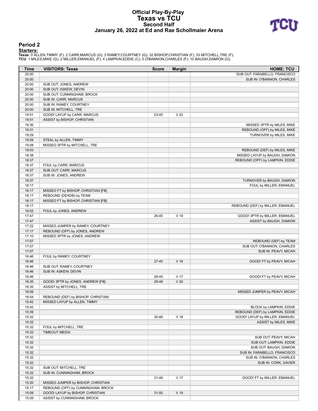### **Official Play-By-Play Texas vs TCU Second Half January 26, 2022 at Ed and Rae Schollmaier Arena**



#### **Period 2**

<mark>Starters:</mark><br>Texas: 0 ALLEN,TIMMY (F); 2 CARR,MARCUS (G); 3 RAMEY,COURTNEY (G); 32 BISHOP,CHRISTIAN (F); 33 MITCHELL,TRE (F);<br>TCU: 1 MILES,MIKE (G); 2 MILLER,EMANUEL (F); 4 LAMPKIN,EDDIE (C); 5 O'BANNON,CHARLES (F); 10 BAUG

| Time  | <b>VISITORS: Texas</b>              | <b>Score</b> | <b>Margin</b>   | <b>HOME: TCU</b>                 |
|-------|-------------------------------------|--------------|-----------------|----------------------------------|
| 20:00 |                                     |              |                 | SUB OUT: FARABELLO, FRANCISCO    |
| 20:00 |                                     |              |                 | SUB IN: O'BANNON, CHARLES        |
| 20:00 | SUB OUT: JONES, ANDREW              |              |                 |                                  |
| 20:00 | SUB OUT: ASKEW, DEVIN               |              |                 |                                  |
| 20:00 | SUB OUT: CUNNINGHAM, BROCK          |              |                 |                                  |
| 20:00 | SUB IN: CARR, MARCUS                |              |                 |                                  |
| 20:00 | SUB IN: RAMEY, COURTNEY             |              |                 |                                  |
| 20:00 | SUB IN: MITCHELL, TRE               |              |                 |                                  |
| 19:51 | GOOD! LAYUP by CARR, MARCUS         | 23-45        | V <sub>22</sub> |                                  |
| 19:51 | ASSIST by BISHOP, CHRISTIAN         |              |                 |                                  |
| 19:36 |                                     |              |                 | MISSED 3PTR by MILES, MIKE       |
| 19:31 |                                     |              |                 | REBOUND (OFF) by MILES, MIKE     |
| 19:29 |                                     |              |                 | TURNOVER by MILES, MIKE          |
| 19:29 | STEAL by ALLEN, TIMMY               |              |                 |                                  |
| 19:08 | MISSED 3PTR by MITCHELL, TRE        |              |                 |                                  |
| 19:03 |                                     |              |                 | REBOUND (DEF) by MILES, MIKE     |
| 18:38 |                                     |              |                 | MISSED LAYUP by BAUGH, DAMION    |
| 18:37 |                                     |              |                 | REBOUND (OFF) by LAMPKIN, EDDIE  |
| 18:37 | FOUL by CARR, MARCUS                |              |                 |                                  |
| 18:37 | SUB OUT: CARR, MARCUS               |              |                 |                                  |
| 18:37 | SUB IN: JONES, ANDREW               |              |                 |                                  |
|       |                                     |              |                 |                                  |
| 18:37 |                                     |              |                 | TURNOVER by BAUGH, DAMION        |
| 18:17 |                                     |              |                 | FOUL by MILLER, EMANUEL          |
| 18:17 | MISSED FT by BISHOP, CHRISTIAN [FB] |              |                 |                                  |
| 18:17 | REBOUND (DEADB) by TEAM             |              |                 |                                  |
| 18:17 | MISSED FT by BISHOP, CHRISTIAN [FB] |              |                 |                                  |
| 18:17 |                                     |              |                 | REBOUND (DEF) by MILLER, EMANUEL |
| 18:02 | FOUL by JONES, ANDREW               |              |                 |                                  |
| 17:47 |                                     | 26-45        | V 19            | GOOD! 3PTR by MILLER, EMANUEL    |
| 17:47 |                                     |              |                 | ASSIST by BAUGH, DAMION          |
| 17:22 | MISSED JUMPER by RAMEY, COURTNEY    |              |                 |                                  |
| 17:17 | REBOUND (OFF) by JONES, ANDREW      |              |                 |                                  |
| 17:10 | MISSED 3PTR by JONES, ANDREW        |              |                 |                                  |
| 17:07 |                                     |              |                 | REBOUND (DEF) by TEAM            |
| 17:07 |                                     |              |                 | SUB OUT: O'BANNON, CHARLES       |
| 17:07 |                                     |              |                 | SUB IN: PEAVY, MICAH             |
| 16:46 | FOUL by RAMEY, COURTNEY             |              |                 |                                  |
| 16:46 |                                     | $27 - 45$    | V <sub>18</sub> | GOOD! FT by PEAVY, MICAH         |
| 16:46 | SUB OUT: RAMEY, COURTNEY            |              |                 |                                  |
| 16:46 | SUB IN: ASKEW, DEVIN                |              |                 |                                  |
| 16:46 |                                     | 28-45        | V 17            | GOOD! FT by PEAVY, MICAH         |
| 16:35 | GOOD! 3PTR by JONES, ANDREW [FB]    | 28-48        | V <sub>20</sub> |                                  |
| 16:35 | ASSIST by MITCHELL, TRE             |              |                 |                                  |
| 16:09 |                                     |              |                 | MISSED JUMPER by PEAVY, MICAH    |
| 16:04 | REBOUND (DEF) by BISHOP, CHRISTIAN  |              |                 |                                  |
| 15:42 | MISSED LAYUP by ALLEN, TIMMY        |              |                 |                                  |
| 15:42 |                                     |              |                 | BLOCK by LAMPKIN, EDDIE          |
| 15:39 |                                     |              |                 | REBOUND (DEF) by LAMPKIN, EDDIE  |
| 15:32 |                                     | 30-48        | V 18            | GOOD! LAYUP by MILLER, EMANUEL   |
| 15:32 |                                     |              |                 | ASSIST by MILES, MIKE            |
| 15:32 | FOUL by MITCHELL, TRE               |              |                 |                                  |
| 15:32 | <b>TIMEOUT MEDIA</b>                |              |                 |                                  |
| 15:32 |                                     |              |                 | SUB OUT: PEAVY, MICAH            |
| 15:32 |                                     |              |                 | SUB OUT: LAMPKIN, EDDIE          |
| 15:32 |                                     |              |                 | SUB OUT: BAUGH, DAMION           |
| 15:32 |                                     |              |                 | SUB IN: FARABELLO, FRANCISCO     |
| 15:32 |                                     |              |                 | SUB IN: O'BANNON, CHARLES        |
| 15:32 |                                     |              |                 | SUB IN: CORK, XAVIER             |
| 15:32 | SUB OUT: MITCHELL, TRE              |              |                 |                                  |
| 15:32 | SUB IN: CUNNINGHAM, BROCK           |              |                 |                                  |
| 15:32 |                                     | 31-48        | V 17            | GOOD! FT by MILLER, EMANUEL      |
| 15:20 | MISSED JUMPER by BISHOP, CHRISTIAN  |              |                 |                                  |
| 15:17 | REBOUND (OFF) by CUNNINGHAM, BROCK  |              |                 |                                  |
|       |                                     |              |                 |                                  |
| 15:09 | GOOD! LAYUP by BISHOP, CHRISTIAN    | $31 - 50$    | $V$ 19          |                                  |
| 15:09 | ASSIST by CUNNINGHAM, BROCK         |              |                 |                                  |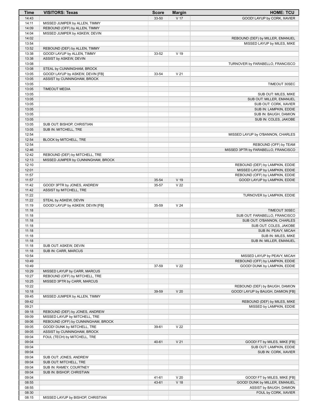| <b>Time</b> | <b>VISITORS: Texas</b>             | <b>Score</b> | <b>Margin</b>   | <b>HOME: TCU</b>                    |
|-------------|------------------------------------|--------------|-----------------|-------------------------------------|
| 14:43       |                                    | 33-50        | V <sub>17</sub> | GOOD! LAYUP by CORK, XAVIER         |
| 14:11       | MISSED JUMPER by ALLEN, TIMMY      |              |                 |                                     |
| 14:09       | REBOUND (OFF) by ALLEN, TIMMY      |              |                 |                                     |
| 14:04       | MISSED JUMPER by ASKEW, DEVIN      |              |                 |                                     |
| 14:02       |                                    |              |                 | REBOUND (DEF) by MILLER, EMANUEL    |
| 13:54       |                                    |              |                 | MISSED LAYUP by MILES, MIKE         |
| 13:52       | REBOUND (DEF) by ALLEN, TIMMY      |              |                 |                                     |
| 13:38       | GOOD! LAYUP by ALLEN, TIMMY        | 33-52        | $V$ 19          |                                     |
| 13:38       | ASSIST by ASKEW, DEVIN             |              |                 |                                     |
| 13:08       |                                    |              |                 | TURNOVER by FARABELLO, FRANCISCO    |
| 13:08       | STEAL by CUNNINGHAM, BROCK         |              |                 |                                     |
| 13:05       | GOOD! LAYUP by ASKEW, DEVIN [FB]   | 33-54        | V <sub>21</sub> |                                     |
| 13:05       | ASSIST by CUNNINGHAM, BROCK        |              |                 |                                     |
| 13:05       |                                    |              |                 | TIMEOUT 30SEC                       |
| 13:05       | <b>TIMEOUT MEDIA</b>               |              |                 |                                     |
| 13:05       |                                    |              |                 | SUB OUT: MILES, MIKE                |
| 13:05       |                                    |              |                 | SUB OUT: MILLER, EMANUEL            |
| 13:05       |                                    |              |                 | SUB OUT: CORK, XAVIER               |
| 13:05       |                                    |              |                 | SUB IN: LAMPKIN, EDDIE              |
| 13:05       |                                    |              |                 | SUB IN: BAUGH, DAMION               |
| 13:05       |                                    |              |                 | SUB IN: COLES, JAKOBE               |
| 13:05       | SUB OUT: BISHOP, CHRISTIAN         |              |                 |                                     |
| 13:05       | SUB IN: MITCHELL, TRE              |              |                 |                                     |
| 12:54       |                                    |              |                 | MISSED LAYUP by O'BANNON, CHARLES   |
| 12:54       | BLOCK by MITCHELL, TRE             |              |                 |                                     |
| 12:54       |                                    |              |                 | REBOUND (OFF) by TEAM               |
| 12:46       |                                    |              |                 | MISSED 3PTR by FARABELLO, FRANCISCO |
| 12:42       | REBOUND (DEF) by MITCHELL, TRE     |              |                 |                                     |
| 12:13       | MISSED JUMPER by CUNNINGHAM, BROCK |              |                 |                                     |
| 12:10       |                                    |              |                 | REBOUND (DEF) by LAMPKIN, EDDIE     |
| 12:01       |                                    |              |                 | MISSED LAYUP by LAMPKIN, EDDIE      |
| 11:57       |                                    |              |                 | REBOUND (OFF) by LAMPKIN, EDDIE     |
| 11:57       |                                    | 35-54        | V 19            | GOOD! LAYUP by LAMPKIN, EDDIE       |
| 11:42       | GOOD! 3PTR by JONES, ANDREW        | 35-57        | V <sub>22</sub> |                                     |
| 11:42       | ASSIST by MITCHELL, TRE            |              |                 |                                     |
| 11:22       |                                    |              |                 | TURNOVER by LAMPKIN, EDDIE          |
| 11:22       | STEAL by ASKEW, DEVIN              |              |                 |                                     |
| 11:19       | GOOD! LAYUP by ASKEW, DEVIN [FB]   | 35-59        | V <sub>24</sub> |                                     |
| 11:18       |                                    |              |                 | TIMEOUT 30SEC                       |
| 11:18       |                                    |              |                 | SUB OUT: FARABELLO, FRANCISCO       |
| 11:18       |                                    |              |                 | SUB OUT: O'BANNON, CHARLES          |
| 11:18       |                                    |              |                 | SUB OUT: COLES, JAKOBE              |
| 11:18       |                                    |              |                 | SUB IN: PEAVY, MICAH                |
| 11:18       |                                    |              |                 |                                     |
|             |                                    |              |                 | SUB IN: MILES, MIKE                 |
| 11:18       |                                    |              |                 | SUB IN: MILLER, EMANUEL             |
| 11:18       | SUB OUT: ASKEW, DEVIN              |              |                 |                                     |
| 11:18       | SUB IN: CARR, MARCUS               |              |                 |                                     |
| 10:54       |                                    |              |                 | MISSED LAYUP by PEAVY, MICAH        |
| 10:49       |                                    |              |                 | REBOUND (OFF) by LAMPKIN, EDDIE     |
| 10:49       |                                    | 37-59        | V <sub>22</sub> | GOOD! DUNK by LAMPKIN, EDDIE        |
| 10:29       | MISSED LAYUP by CARR, MARCUS       |              |                 |                                     |
| 10:27       | REBOUND (OFF) by MITCHELL, TRE     |              |                 |                                     |
| 10:25       | MISSED 3PTR by CARR, MARCUS        |              |                 |                                     |
| 10:22       |                                    |              |                 | REBOUND (DEF) by BAUGH, DAMION      |
| 10:18       |                                    | 39-59        | V <sub>20</sub> | GOOD! LAYUP by BAUGH, DAMION [FB]   |
| 09:45       | MISSED JUMPER by ALLEN, TIMMY      |              |                 |                                     |
| 09:42       |                                    |              |                 | REBOUND (DEF) by MILES, MIKE        |
| 09:21       |                                    |              |                 | MISSED by LAMPKIN, EDDIE            |
| 09:18       | REBOUND (DEF) by JONES, ANDREW     |              |                 |                                     |
| 09:09       | MISSED LAYUP by MITCHELL, TRE      |              |                 |                                     |
| 09:06       | REBOUND (OFF) by CUNNINGHAM, BROCK |              |                 |                                     |
| 09:05       | GOOD! DUNK by MITCHELL, TRE        | 39-61        | V <sub>22</sub> |                                     |
| 09:05       | ASSIST by CUNNINGHAM, BROCK        |              |                 |                                     |
| 09:04       | FOUL (TECH) by MITCHELL, TRE       |              |                 |                                     |
| 09:04       |                                    | 40-61        | V <sub>21</sub> | GOOD! FT by MILES, MIKE [FB]        |
| 09:04       |                                    |              |                 | SUB OUT: LAMPKIN, EDDIE             |
| 09:04       |                                    |              |                 | SUB IN: CORK, XAVIER                |
| 09:04       | SUB OUT: JONES, ANDREW             |              |                 |                                     |
| 09:04       | SUB OUT: MITCHELL, TRE             |              |                 |                                     |
| 09:04       | SUB IN: RAMEY, COURTNEY            |              |                 |                                     |
| 09:04       | SUB IN: BISHOP, CHRISTIAN          |              |                 |                                     |
| 09:04       |                                    | 41-61        | V <sub>20</sub> | GOOD! FT by MILES, MIKE [FB]        |
| 08:55       |                                    | 43-61        | V <sub>18</sub> | GOOD! DUNK by MILLER, EMANUEL       |
| 08:55       |                                    |              |                 | ASSIST by BAUGH, DAMION             |
| 08:30       |                                    |              |                 | FOUL by CORK, XAVIER                |
| 08:15       | MISSED LAYUP by BISHOP, CHRISTIAN  |              |                 |                                     |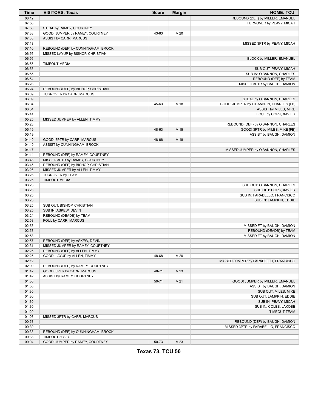| <b>Time</b> | <b>VISITORS: Texas</b>             | <b>Score</b> | <b>Margin</b>   | <b>HOME: TCU</b>                       |
|-------------|------------------------------------|--------------|-----------------|----------------------------------------|
| 08:12       |                                    |              |                 | REBOUND (DEF) by MILLER, EMANUEL       |
| 07:50       |                                    |              |                 | TURNOVER by PEAVY, MICAH               |
| 07:50       | STEAL by RAMEY, COURTNEY           |              |                 |                                        |
| 07:33       | GOOD! JUMPER by RAMEY, COURTNEY    | 43-63        | V <sub>20</sub> |                                        |
| 07:33       | ASSIST by CARR, MARCUS             |              |                 |                                        |
| 07:13       |                                    |              |                 | MISSED 3PTR by PEAVY, MICAH            |
| 07:10       | REBOUND (DEF) by CUNNINGHAM, BROCK |              |                 |                                        |
| 06:56       | MISSED LAYUP by BISHOP, CHRISTIAN  |              |                 |                                        |
| 06:56       |                                    |              |                 | BLOCK by MILLER, EMANUEL               |
|             |                                    |              |                 |                                        |
| 06:55       | <b>TIMEOUT MEDIA</b>               |              |                 |                                        |
| 06:55       |                                    |              |                 | SUB OUT: PEAVY, MICAH                  |
| 06:55       |                                    |              |                 | SUB IN: O'BANNON, CHARLES              |
| 06:54       |                                    |              |                 | REBOUND (DEF) by TEAM                  |
| 06:28       |                                    |              |                 | MISSED 3PTR by BAUGH, DAMION           |
| 06:24       | REBOUND (DEF) by BISHOP, CHRISTIAN |              |                 |                                        |
| 06:09       | TURNOVER by CARR, MARCUS           |              |                 |                                        |
| 06:09       |                                    |              |                 | STEAL by O'BANNON, CHARLES             |
| 06:04       |                                    | 45-63        | V <sub>18</sub> | GOOD! JUMPER by O'BANNON, CHARLES [FB] |
| 06:04       |                                    |              |                 | ASSIST by MILES, MIKE                  |
| 05:41       |                                    |              |                 | FOUL by CORK, XAVIER                   |
| 05:25       | MISSED JUMPER by ALLEN, TIMMY      |              |                 |                                        |
| 05:23       |                                    |              |                 | REBOUND (DEF) by O'BANNON, CHARLES     |
| 05:19       |                                    | 48-63        | V <sub>15</sub> | GOOD! 3PTR by MILES, MIKE [FB]         |
| 05:19       |                                    |              |                 | ASSIST by BAUGH, DAMION                |
| 04:49       | GOOD! 3PTR by CARR, MARCUS         | 48-66        | V <sub>18</sub> |                                        |
| 04:49       | ASSIST by CUNNINGHAM, BROCK        |              |                 |                                        |
| 04:17       |                                    |              |                 | MISSED JUMPER by O'BANNON, CHARLES     |
| 04:14       | REBOUND (DEF) by RAMEY, COURTNEY   |              |                 |                                        |
| 03:48       | MISSED 3PTR by RAMEY, COURTNEY     |              |                 |                                        |
| 03:45       | REBOUND (OFF) by BISHOP, CHRISTIAN |              |                 |                                        |
| 03:26       | MISSED JUMPER by ALLEN, TIMMY      |              |                 |                                        |
| 03:25       | TURNOVER by TEAM                   |              |                 |                                        |
| 03:25       | <b>TIMEOUT MEDIA</b>               |              |                 |                                        |
| 03:25       |                                    |              |                 | SUB OUT: O'BANNON, CHARLES             |
| 03:25       |                                    |              |                 | SUB OUT: CORK, XAVIER                  |
| 03:25       |                                    |              |                 | SUB IN: FARABELLO, FRANCISCO           |
| 03:25       |                                    |              |                 | SUB IN: LAMPKIN, EDDIE                 |
| 03:25       | SUB OUT: BISHOP, CHRISTIAN         |              |                 |                                        |
| 03:25       | SUB IN: ASKEW, DEVIN               |              |                 |                                        |
| 03:24       | REBOUND (DEADB) by TEAM            |              |                 |                                        |
| 02:58       | FOUL by CARR, MARCUS               |              |                 |                                        |
| 02:58       |                                    |              |                 | MISSED FT by BAUGH, DAMION             |
| 02:58       |                                    |              |                 | REBOUND (DEADB) by TEAM                |
| 02:58       |                                    |              |                 | MISSED FT by BAUGH, DAMION             |
| 02:57       | REBOUND (DEF) by ASKEW, DEVIN      |              |                 |                                        |
| 02:31       | MISSED JUMPER by RAMEY, COURTNEY   |              |                 |                                        |
| 02:25       | REBOUND (OFF) by ALLEN, TIMMY      |              |                 |                                        |
| 02:25       | GOOD! LAYUP by ALLEN, TIMMY        | 48-68        | V <sub>20</sub> |                                        |
| 02:12       |                                    |              |                 |                                        |
|             |                                    |              |                 | MISSED JUMPER by FARABELLO, FRANCISCO  |
| 02:09       | REBOUND (DEF) by RAMEY, COURTNEY   |              |                 |                                        |
| 01:42       | GOOD! 3PTR by CARR, MARCUS         | 48-71        | V <sub>23</sub> |                                        |
| 01:42       | ASSIST by RAMEY, COURTNEY          |              |                 |                                        |
| 01:30       |                                    | 50-71        | V <sub>21</sub> | GOOD! JUMPER by MILLER, EMANUEL        |
| 01:30       |                                    |              |                 | ASSIST by BAUGH, DAMION                |
| 01:30       |                                    |              |                 | SUB OUT: MILES, MIKE                   |
| 01:30       |                                    |              |                 | SUB OUT: LAMPKIN, EDDIE                |
| 01:30       |                                    |              |                 | SUB IN: PEAVY, MICAH                   |
| 01:30       |                                    |              |                 | SUB IN: COLES, JAKOBE                  |
| 01:29       |                                    |              |                 | <b>TIMEOUT TEAM</b>                    |
| 01:03       | MISSED 3PTR by CARR, MARCUS        |              |                 |                                        |
| 00:58       |                                    |              |                 | REBOUND (DEF) by BAUGH, DAMION         |
| 00:39       |                                    |              |                 | MISSED 3PTR by FARABELLO, FRANCISCO    |
| 00:33       | REBOUND (DEF) by CUNNINGHAM, BROCK |              |                 |                                        |
| 00:33       | TIMEOUT 30SEC                      |              |                 |                                        |
| 00:04       | GOOD! JUMPER by RAMEY, COURTNEY    | 50-73        | V <sub>23</sub> |                                        |

**Texas 73, TCU 50**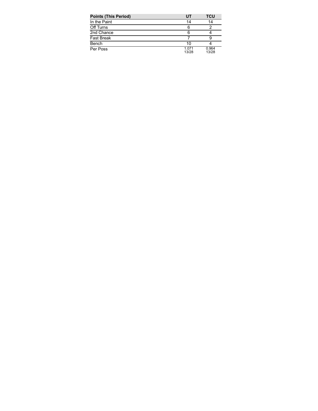| <b>Points (This Period)</b> | UT             | <b>TCU</b>     |
|-----------------------------|----------------|----------------|
| In the Paint                | 14             | 14             |
| Off Turns                   | 6              |                |
| 2nd Chance                  | 6              |                |
| <b>Fast Break</b>           |                |                |
| Bench                       | 10             |                |
| Per Poss                    | 1.071<br>13/28 | 0.964<br>13/28 |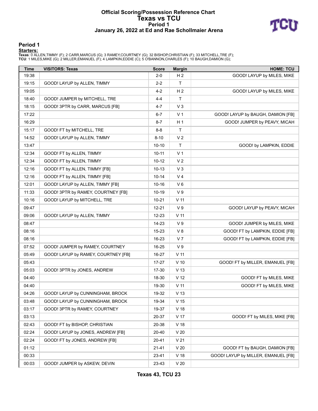#### **Official Scoring/Possession Reference Chart Texas vs TCU Period 1 January 26, 2022 at Ed and Rae Schollmaier Arena**



#### **Period 1**

<mark>Starters:</mark><br>Texas: 0 ALLEN,TIMMY (F); 2 CARR,MARCUS (G); 3 RAMEY,COURTNEY (G); 32 BISHOP,CHRISTIAN (F); 33 MITCHELL,TRE (F);<br>TCU: 1 MILES,MIKE (G); 2 MILLER,EMANUEL (F); 4 LAMPKIN,EDDIE (C); 5 O'BANNON,CHARLES (F); 10 BAUG

| <b>Time</b> | <b>VISITORS: Texas</b>              | <b>Score</b> | <b>Margin</b>   | <b>HOME: TCU</b>                    |
|-------------|-------------------------------------|--------------|-----------------|-------------------------------------|
| 19:38       |                                     | $2 - 0$      | H <sub>2</sub>  | GOOD! LAYUP by MILES, MIKE          |
| 19:15       | GOOD! LAYUP by ALLEN, TIMMY         | $2 - 2$      | T               |                                     |
| 19:05       |                                     | $4 - 2$      | H <sub>2</sub>  | GOOD! LAYUP by MILES, MIKE          |
| 18:40       | GOOD! JUMPER by MITCHELL, TRE       | $4 - 4$      | T               |                                     |
| 18:15       | GOOD! 3PTR by CARR, MARCUS [FB]     | $4 - 7$      | V <sub>3</sub>  |                                     |
| 17:22       |                                     | $6 - 7$      | V <sub>1</sub>  | GOOD! LAYUP by BAUGH, DAMION [FB]   |
| 16:29       |                                     | $8 - 7$      | H <sub>1</sub>  | GOOD! JUMPER by PEAVY, MICAH        |
| 15:17       | GOOD! FT by MITCHELL, TRE           | $8 - 8$      | T               |                                     |
| 14:52       | GOOD! LAYUP by ALLEN, TIMMY         | $8 - 10$     | V <sub>2</sub>  |                                     |
| 13:47       |                                     | $10 - 10$    | T               | GOOD! by LAMPKIN, EDDIE             |
| 12:34       | GOOD! FT by ALLEN, TIMMY            | $10 - 11$    | V <sub>1</sub>  |                                     |
| 12:34       | GOOD! FT by ALLEN, TIMMY            | $10 - 12$    | V <sub>2</sub>  |                                     |
| 12:16       | GOOD! FT by ALLEN, TIMMY [FB]       | $10 - 13$    | $V_3$           |                                     |
| 12:16       | GOOD! FT by ALLEN, TIMMY [FB]       | $10 - 14$    | V <sub>4</sub>  |                                     |
| 12:01       | GOOD! LAYUP by ALLEN, TIMMY [FB]    | $10 - 16$    | $V_6$           |                                     |
| 11:33       | GOOD! 3PTR by RAMEY, COURTNEY [FB]  | $10 - 19$    | V <sub>9</sub>  |                                     |
| 10:16       | GOOD! LAYUP by MITCHELL, TRE        | $10 - 21$    | $V$ 11          |                                     |
| 09:47       |                                     | $12 - 21$    | V <sub>9</sub>  | GOOD! LAYUP by PEAVY, MICAH         |
| 09:06       | GOOD! LAYUP by ALLEN, TIMMY         | $12 - 23$    | $V$ 11          |                                     |
| 08:47       |                                     | $14 - 23$    | V <sub>9</sub>  | GOOD! JUMPER by MILES, MIKE         |
| 08:16       |                                     | $15 - 23$    | V8              | GOOD! FT by LAMPKIN, EDDIE [FB]     |
| 08:16       |                                     | 16-23        | V <sub>7</sub>  | GOOD! FT by LAMPKIN, EDDIE [FB]     |
| 07:52       | GOOD! JUMPER by RAMEY, COURTNEY     | 16-25        | V <sub>9</sub>  |                                     |
| 05:49       | GOOD! LAYUP by RAMEY, COURTNEY [FB] | 16-27        | V <sub>11</sub> |                                     |
| 05:43       |                                     | 17-27        | $V$ 10          | GOOD! FT by MILLER, EMANUEL [FB]    |
| 05:03       | GOOD! 3PTR by JONES, ANDREW         | 17-30        | V <sub>13</sub> |                                     |
| 04:40       |                                     | 18-30        | V <sub>12</sub> | GOOD! FT by MILES, MIKE             |
| 04:40       |                                     | 19-30        | V <sub>11</sub> | GOOD! FT by MILES, MIKE             |
| 04:26       | GOOD! LAYUP by CUNNINGHAM, BROCK    | 19-32        | V <sub>13</sub> |                                     |
| 03:48       | GOOD! LAYUP by CUNNINGHAM, BROCK    | 19-34        | V <sub>15</sub> |                                     |
| 03:17       | GOOD! 3PTR by RAMEY, COURTNEY       | 19-37        | V <sub>18</sub> |                                     |
| 03:13       |                                     | 20-37        | V 17            | GOOD! FT by MILES, MIKE [FB]        |
| 02:43       | GOOD! FT by BISHOP, CHRISTIAN       | 20-38        | V <sub>18</sub> |                                     |
| 02:24       | GOOD! LAYUP by JONES, ANDREW [FB]   | 20-40        | V <sub>20</sub> |                                     |
| 02:24       | GOOD! FT by JONES, ANDREW [FB]      | 20-41        | V <sub>21</sub> |                                     |
| 01:12       |                                     | $21 - 41$    | V <sub>20</sub> | GOOD! FT by BAUGH, DAMION [FB]      |
| 00:33       |                                     | 23-41        | $V$ 18          | GOOD! LAYUP by MILLER, EMANUEL [FB] |
| 00:03       | GOOD! JUMPER by ASKEW, DEVIN        | 23-43        | V <sub>20</sub> |                                     |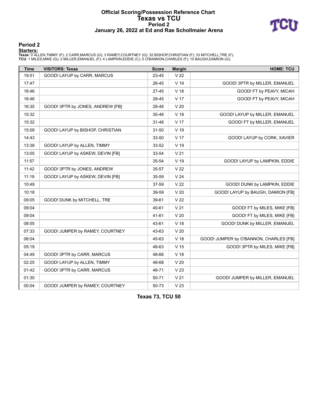#### **Official Scoring/Possession Reference Chart Texas vs TCU Period 2 January 26, 2022 at Ed and Rae Schollmaier Arena**



#### **Period 2**

#### **Starters:**

Texas: 0 ALLEN,TIMMY (F); 2 CARR,MARCUS (G); 3 RAMEY,COURTNEY (G); 32 BISHOP,CHRISTIAN (F); 33 MITCHELL,TRE (F);<br>TCU: 1 MILES,MIKE (G); 2 MILLER,EMANUEL (F); 4 LAMPKIN,EDDIE (C); 5 O'BANNON,CHARLES (F); 10 BAUGH,DAMION (G)

| <b>Time</b> | <b>VISITORS: Texas</b>           | <b>Score</b> | <b>Margin</b>   | <b>HOME: TCU</b>                       |
|-------------|----------------------------------|--------------|-----------------|----------------------------------------|
| 19:51       | GOOD! LAYUP by CARR, MARCUS      | 23-45        | V <sub>22</sub> |                                        |
| 17:47       |                                  | 26-45        | $V$ 19          | GOOD! 3PTR by MILLER, EMANUEL          |
| 16:46       |                                  | $27 - 45$    | V <sub>18</sub> | GOOD! FT by PEAVY, MICAH               |
| 16:46       |                                  | 28-45        | V <sub>17</sub> | GOOD! FT by PEAVY, MICAH               |
| 16:35       | GOOD! 3PTR by JONES, ANDREW [FB] | 28-48        | V <sub>20</sub> |                                        |
| 15:32       |                                  | 30-48        | V <sub>18</sub> | GOOD! LAYUP by MILLER, EMANUEL         |
| 15:32       |                                  | $31 - 48$    | V <sub>17</sub> | GOOD! FT by MILLER, EMANUEL            |
| 15:09       | GOOD! LAYUP by BISHOP, CHRISTIAN | 31-50        | V 19            |                                        |
| 14:43       |                                  | 33-50        | V 17            | GOOD! LAYUP by CORK, XAVIER            |
| 13:38       | GOOD! LAYUP by ALLEN, TIMMY      | 33-52        | V <sub>19</sub> |                                        |
| 13:05       | GOOD! LAYUP by ASKEW, DEVIN [FB] | 33-54        | V <sub>21</sub> |                                        |
| 11:57       |                                  | 35-54        | V 19            | GOOD! LAYUP by LAMPKIN, EDDIE          |
| 11:42       | GOOD! 3PTR by JONES, ANDREW      | 35-57        | V <sub>22</sub> |                                        |
| 11:19       | GOOD! LAYUP by ASKEW, DEVIN [FB] | 35-59        | V <sub>24</sub> |                                        |
| 10:49       |                                  | 37-59        | V <sub>22</sub> | GOOD! DUNK by LAMPKIN, EDDIE           |
| 10:18       |                                  | 39-59        | V <sub>20</sub> | GOOD! LAYUP by BAUGH, DAMION [FB]      |
| 09:05       | GOOD! DUNK by MITCHELL, TRE      | 39-61        | V <sub>22</sub> |                                        |
| 09:04       |                                  | 40-61        | V <sub>21</sub> | GOOD! FT by MILES, MIKE [FB]           |
| 09:04       |                                  | 41-61        | V <sub>20</sub> | GOOD! FT by MILES, MIKE [FB]           |
| 08:55       |                                  | 43-61        | V <sub>18</sub> | GOOD! DUNK by MILLER, EMANUEL          |
| 07:33       | GOOD! JUMPER by RAMEY, COURTNEY  | 43-63        | V <sub>20</sub> |                                        |
| 06:04       |                                  | 45-63        | V <sub>18</sub> | GOOD! JUMPER by O'BANNON, CHARLES [FB] |
| 05:19       |                                  | 48-63        | V <sub>15</sub> | GOOD! 3PTR by MILES, MIKE [FB]         |
| 04:49       | GOOD! 3PTR by CARR, MARCUS       | 48-66        | V <sub>18</sub> |                                        |
| 02:25       | GOOD! LAYUP by ALLEN, TIMMY      | 48-68        | V <sub>20</sub> |                                        |
| 01:42       | GOOD! 3PTR by CARR, MARCUS       | 48-71        | V <sub>23</sub> |                                        |
| 01:30       |                                  | 50-71        | V <sub>21</sub> | GOOD! JUMPER by MILLER, EMANUEL        |
| 00:04       | GOOD! JUMPER by RAMEY, COURTNEY  | 50-73        | V <sub>23</sub> |                                        |

**Texas 73, TCU 50**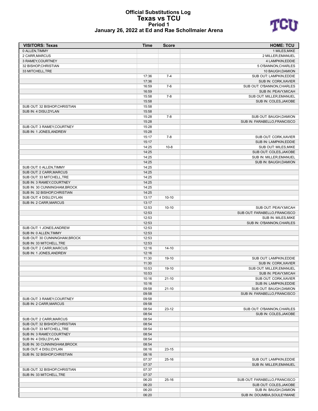#### **Official Substitutions Log Texas vs TCU Period 1 January 26, 2022 at Ed and Rae Schollmaier Arena**



| <b>VISITORS: Texas</b>                                 | <b>Time</b>    | <b>Score</b> | <b>HOME: TCU</b>                                   |
|--------------------------------------------------------|----------------|--------------|----------------------------------------------------|
| 0 ALLEN, TIMMY                                         |                |              | 1 MILES, MIKE                                      |
| 2 CARR, MARCUS                                         |                |              | 2 MILLER, EMANUEL                                  |
| 3 RAMEY, COURTNEY                                      |                |              | 4 LAMPKIN, EDDIE                                   |
| 32 BISHOP, CHRISTIAN                                   |                |              | 5 O'BANNON, CHARLES                                |
| 33 MITCHELL, TRE                                       |                |              | 10 BAUGH, DAMION                                   |
|                                                        | 17:36          | $7 - 4$      | SUB OUT: LAMPKIN, EDDIE                            |
|                                                        | 17:36          |              | SUB IN: CORK, XAVIER                               |
|                                                        | 16:59<br>16:59 | $7-6$        | SUB OUT: O'BANNON, CHARLES<br>SUB IN: PEAVY, MICAH |
|                                                        | 15:58          | $7 - 8$      | SUB OUT: MILLER, EMANUEL                           |
|                                                        | 15:58          |              | SUB IN: COLES, JAKOBE                              |
| SUB OUT: 32 BISHOP, CHRISTIAN                          | 15:58          |              |                                                    |
| SUB IN: 4 DISU, DYLAN                                  | 15:58          |              |                                                    |
|                                                        | 15:28          | $7-8$        | SUB OUT: BAUGH, DAMION                             |
|                                                        | 15:28          |              | SUB IN: FARABELLO, FRANCISCO                       |
| SUB OUT: 3 RAMEY, COURTNEY                             | 15:28          |              |                                                    |
| SUB IN: 1 JONES, ANDREW                                | 15:28          |              |                                                    |
|                                                        | 15:17          | $7 - 8$      | SUB OUT: CORK, XAVIER                              |
|                                                        | 15:17          |              | SUB IN: LAMPKIN, EDDIE                             |
|                                                        | 14:25          | $10 - 8$     | SUB OUT: MILES, MIKE                               |
|                                                        | 14:25          |              | SUB OUT: COLES, JAKOBE                             |
|                                                        | 14:25          |              | SUB IN: MILLER, EMANUEL                            |
|                                                        | 14:25          |              | SUB IN: BAUGH, DAMION                              |
| SUB OUT: 0 ALLEN, TIMMY                                | 14:25          |              |                                                    |
| SUB OUT: 2 CARR, MARCUS                                | 14:25          |              |                                                    |
| SUB OUT: 33 MITCHELL, TRE<br>SUB IN: 3 RAMEY.COURTNEY  | 14:25<br>14:25 |              |                                                    |
| SUB IN: 30 CUNNINGHAM, BROCK                           | 14:25          |              |                                                    |
| SUB IN: 32 BISHOP, CHRISTIAN                           | 14:25          |              |                                                    |
| SUB OUT: 4 DISU, DYLAN                                 | 13:17          | $10 - 10$    |                                                    |
| SUB IN: 2 CARR, MARCUS                                 | 13:17          |              |                                                    |
|                                                        | 12:53          | $10 - 10$    | SUB OUT: PEAVY, MICAH                              |
|                                                        | 12:53          |              | SUB OUT: FARABELLO, FRANCISCO                      |
|                                                        | 12:53          |              | SUB IN: MILES, MIKE                                |
|                                                        | 12:53          |              | SUB IN: O'BANNON, CHARLES                          |
| SUB OUT: 1 JONES, ANDREW                               | 12:53          |              |                                                    |
| SUB IN: 0 ALLEN, TIMMY                                 | 12:53          |              |                                                    |
| SUB OUT: 30 CUNNINGHAM, BROCK                          | 12:53          |              |                                                    |
| SUB IN: 33 MITCHELL, TRE                               | 12:53          |              |                                                    |
| SUB OUT: 2 CARR, MARCUS                                | 12:16          | $14 - 10$    |                                                    |
| SUB IN: 1 JONES, ANDREW                                | 12:16          |              |                                                    |
|                                                        | 11:30          | 19-10        | SUB OUT: LAMPKIN, EDDIE                            |
|                                                        | 11:30<br>10:53 | 19-10        | SUB IN: CORK, XAVIER<br>SUB OUT: MILLER.EMANUEL    |
|                                                        | 10:53          |              | SUB IN: PEAVY, MICAH                               |
|                                                        | 10:16          | $21 - 10$    | SUB OUT: CORK, XAVIER                              |
|                                                        | 10:16          |              | SUB IN: LAMPKIN, EDDIE                             |
|                                                        | 09:58          | $21 - 10$    | SUB OUT: BAUGH, DAMION                             |
|                                                        | 09:58          |              | SUB IN: FARABELLO, FRANCISCO                       |
| SUB OUT: 3 RAMEY, COURTNEY                             | 09:58          |              |                                                    |
| SUB IN: 2 CARR.MARCUS                                  | 09:58          |              |                                                    |
|                                                        | 08:54          | $23-12$      | SUB OUT: O'BANNON, CHARLES                         |
|                                                        | 08:54          |              | SUB IN: COLES, JAKOBE                              |
| SUB OUT: 2 CARR, MARCUS                                | 08:54          |              |                                                    |
| SUB OUT: 32 BISHOP, CHRISTIAN                          | 08:54          |              |                                                    |
| SUB OUT: 33 MITCHELL, TRE                              | 08:54          |              |                                                    |
| SUB IN: 3 RAMEY, COURTNEY                              | 08:54          |              |                                                    |
| SUB IN: 4 DISU, DYLAN                                  | 08:54          |              |                                                    |
| SUB IN: 30 CUNNINGHAM, BROCK                           | 08:54          |              |                                                    |
| SUB OUT: 4 DISU, DYLAN<br>SUB IN: 32 BISHOP, CHRISTIAN | 08:16<br>08:16 | $23 - 15$    |                                                    |
|                                                        | 07:37          | $25 - 16$    | SUB OUT: LAMPKIN, EDDIE                            |
|                                                        | 07:37          |              | SUB IN: MILLER, EMANUEL                            |
| SUB OUT: 32 BISHOP, CHRISTIAN                          | 07:37          |              |                                                    |
| SUB IN: 33 MITCHELL, TRE                               | 07:37          |              |                                                    |
|                                                        | 06:20          | $25 - 16$    | SUB OUT: FARABELLO, FRANCISCO                      |
|                                                        | 06:20          |              | SUB OUT: COLES, JAKOBE                             |
|                                                        | 06:20          |              | SUB IN: BAUGH, DAMION                              |
|                                                        | 06:20          |              | SUB IN: DOUMBIA, SOULEYMANE                        |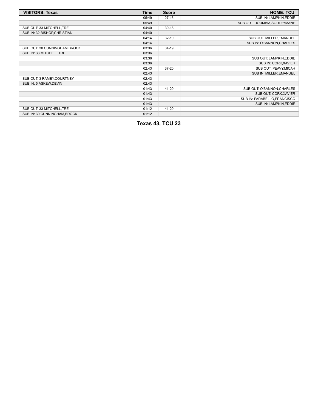| <b>VISITORS: Texas</b>        | <b>Time</b> | <b>Score</b> | <b>HOME: TCU</b>             |
|-------------------------------|-------------|--------------|------------------------------|
|                               | 05:49       | $27-16$      | SUB IN: LAMPKIN, EDDIE       |
|                               | 05:49       |              | SUB OUT: DOUMBIA, SOULEYMANE |
| SUB OUT: 33 MITCHELL, TRE     | 04:40       | $30 - 18$    |                              |
| SUB IN: 32 BISHOP, CHRISTIAN  | 04:40       |              |                              |
|                               | 04:14       | $32 - 19$    | SUB OUT: MILLER, EMANUEL     |
|                               | 04:14       |              | SUB IN: O'BANNON, CHARLES    |
| SUB OUT: 30 CUNNINGHAM, BROCK | 03:36       | $34-19$      |                              |
| SUB IN: 33 MITCHELL, TRE      | 03:36       |              |                              |
|                               | 03:36       |              | SUB OUT: LAMPKIN, EDDIE      |
|                               | 03:36       |              | SUB IN: CORK, XAVIER         |
|                               | 02:43       | $37 - 20$    | SUB OUT: PEAVY, MICAH        |
|                               | 02:43       |              | SUB IN: MILLER, EMANUEL      |
| SUB OUT: 3 RAMEY, COURTNEY    | 02:43       |              |                              |
| SUB IN: 5 ASKEW, DEVIN        | 02:43       |              |                              |
|                               | 01:43       | 41-20        | SUB OUT: O'BANNON, CHARLES   |
|                               | 01:43       |              | SUB OUT: CORK, XAVIER        |
|                               | 01:43       |              | SUB IN: FARABELLO, FRANCISCO |
|                               | 01:43       |              | SUB IN: LAMPKIN, EDDIE       |
| SUB OUT: 33 MITCHELL, TRE     | 01:12       | 41-20        |                              |
| SUB IN: 30 CUNNINGHAM, BROCK  | 01:12       |              |                              |

**Texas 43, TCU 23**